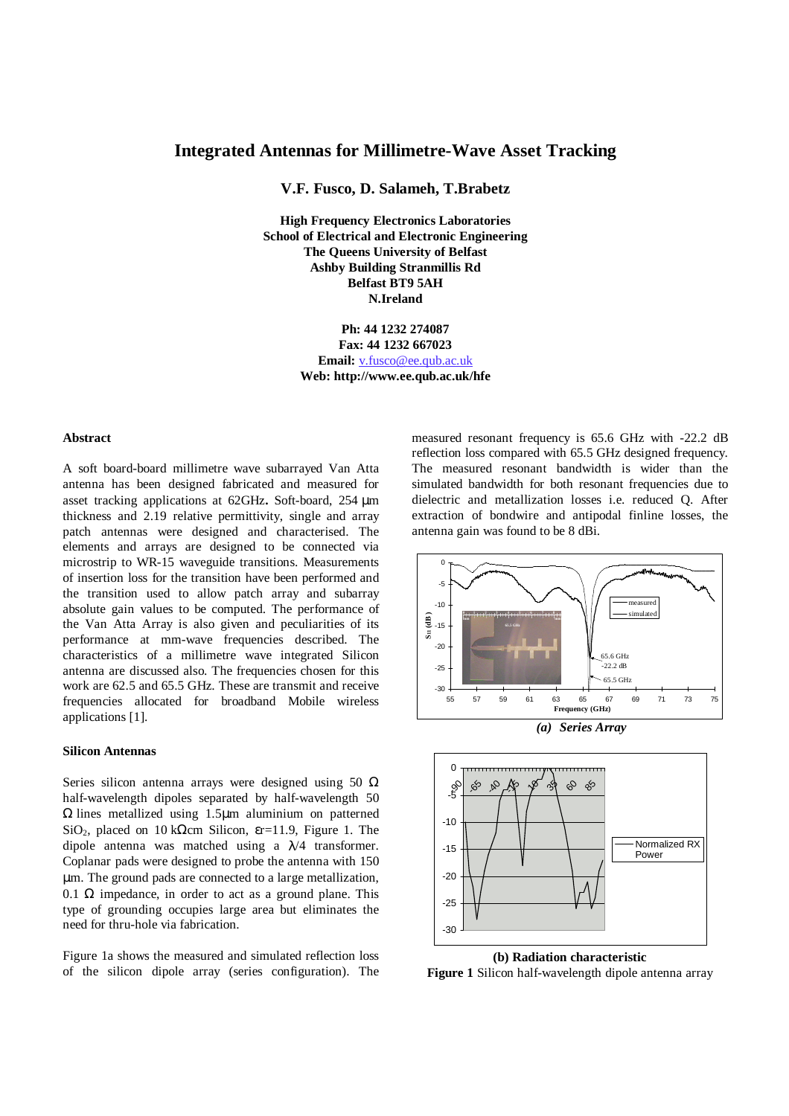# **Integrated Antennas for Millimetre-Wave Asset Tracking**

**V.F. Fusco, D. Salameh, T.Brabetz**

**High Frequency Electronics Laboratories School of Electrical and Electronic Engineering The Queens University of Belfast Ashby Building Stranmillis Rd Belfast BT9 5AH N.Ireland**

> **Ph: 44 1232 274087 Fax: 44 1232 667023 Email:** v.fusco@ee.qub.ac.uk **Web: http://www.ee.qub.ac.uk/hfe**

#### **Abstract**

A soft board-board millimetre wave subarrayed Van Atta antenna has been designed fabricated and measured for asset tracking applications at 62GHz**.** Soft-board, 254 µm thickness and 2.19 relative permittivity, single and array patch antennas were designed and characterised. The elements and arrays are designed to be connected via microstrip to WR-15 waveguide transitions. Measurements of insertion loss for the transition have been performed and the transition used to allow patch array and subarray absolute gain values to be computed. The performance of the Van Atta Array is also given and peculiarities of its performance at mm-wave frequencies described. The characteristics of a millimetre wave integrated Silicon antenna are discussed also. The frequencies chosen for this work are 62.5 and 65.5 GHz. These are transmit and receive frequencies allocated for broadband Mobile wireless applications [1].

## **Silicon Antennas**

Series silicon antenna arrays were designed using 50  $\Omega$ half-wavelength dipoles separated by half-wavelength 50 Ω lines metallized using 1.5µm aluminium on patterned SiO<sub>2</sub>, placed on 10 kΩcm Silicon,  $\epsilon$ r=11.9, Figure 1. The dipole antenna was matched using a  $\lambda/4$  transformer. Coplanar pads were designed to probe the antenna with 150 µm. The ground pads are connected to a large metallization, 0.1  $\Omega$  impedance, in order to act as a ground plane. This type of grounding occupies large area but eliminates the need for thru-hole via fabrication.

Figure 1a shows the measured and simulated reflection loss of the silicon dipole array (series configuration). The measured resonant frequency is 65.6 GHz with -22.2 dB reflection loss compared with 65.5 GHz designed frequency. The measured resonant bandwidth is wider than the simulated bandwidth for both resonant frequencies due to dielectric and metallization losses i.e. reduced Q. After extraction of bondwire and antipodal finline losses, the antenna gain was found to be 8 dBi.





**(b) Radiation characteristic**

**Figure 1** Silicon half-wavelength dipole antenna array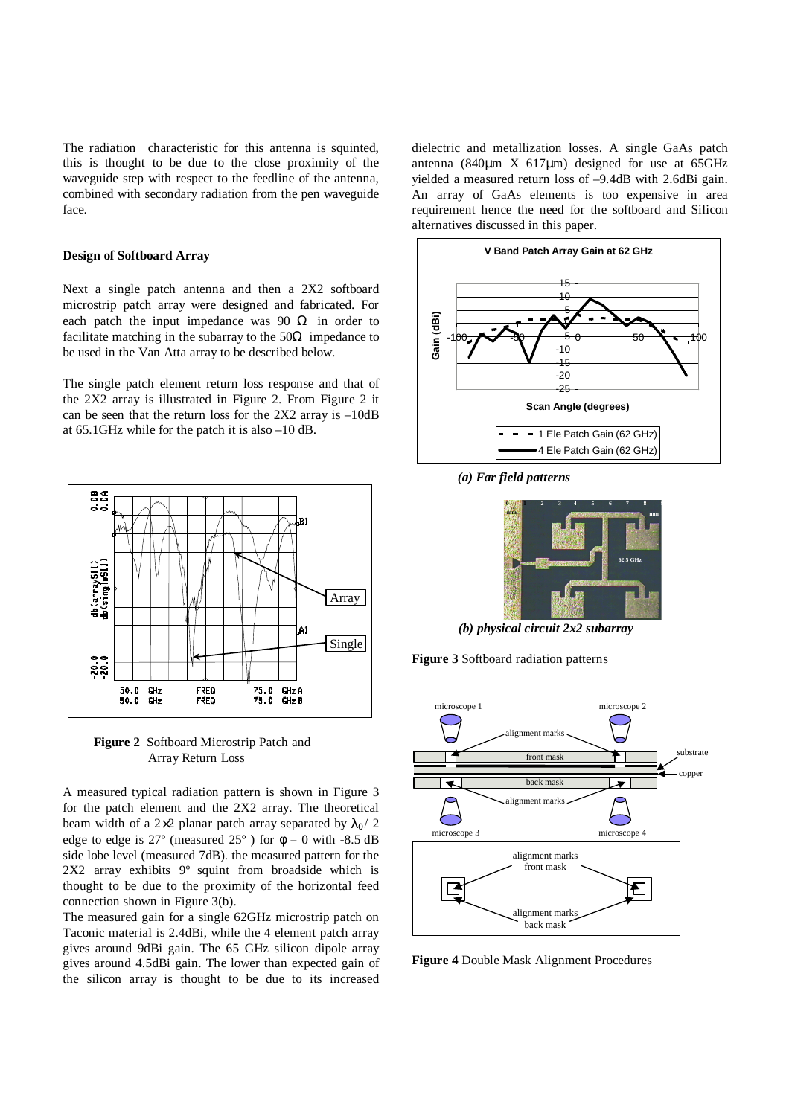The radiation characteristic for this antenna is squinted, this is thought to be due to the close proximity of the waveguide step with respect to the feedline of the antenna, combined with secondary radiation from the pen waveguide face.

## **Design of Softboard Array**

Next a single patch antenna and then a 2X2 softboard microstrip patch array were designed and fabricated. For each patch the input impedance was 90  $\Omega$  in order to facilitate matching in the subarray to the  $50\Omega$  impedance to be used in the Van Atta array to be described below.

The single patch element return loss response and that of the 2X2 array is illustrated in Figure 2. From Figure 2 it can be seen that the return loss for the 2X2 array is –10dB at 65.1GHz while for the patch it is also –10 dB.



**Figure 2** Softboard Microstrip Patch and Array Return Loss

A measured typical radiation pattern is shown in Figure 3 for the patch element and the 2X2 array. The theoretical beam width of a 2×2 planar patch array separated by  $\lambda_0 / 2$ edge to edge is 27° (measured 25°) for  $\phi = 0$  with -8.5 dB side lobe level (measured 7dB). the measured pattern for the 2X2 array exhibits 9º squint from broadside which is thought to be due to the proximity of the horizontal feed connection shown in Figure 3(b).

The measured gain for a single 62GHz microstrip patch on Taconic material is 2.4dBi, while the 4 element patch array gives around 9dBi gain. The 65 GHz silicon dipole array gives around 4.5dBi gain. The lower than expected gain of the silicon array is thought to be due to its increased dielectric and metallization losses. A single GaAs patch antenna (840 $\mu$ m X 617 $\mu$ m) designed for use at 65GHz yielded a measured return loss of –9.4dB with 2.6dBi gain. An array of GaAs elements is too expensive in area requirement hence the need for the softboard and Silicon alternatives discussed in this paper.



*(a) Far field patterns*



*(b) physical circuit 2x2 subarray*





**Figure 4** Double Mask Alignment Procedures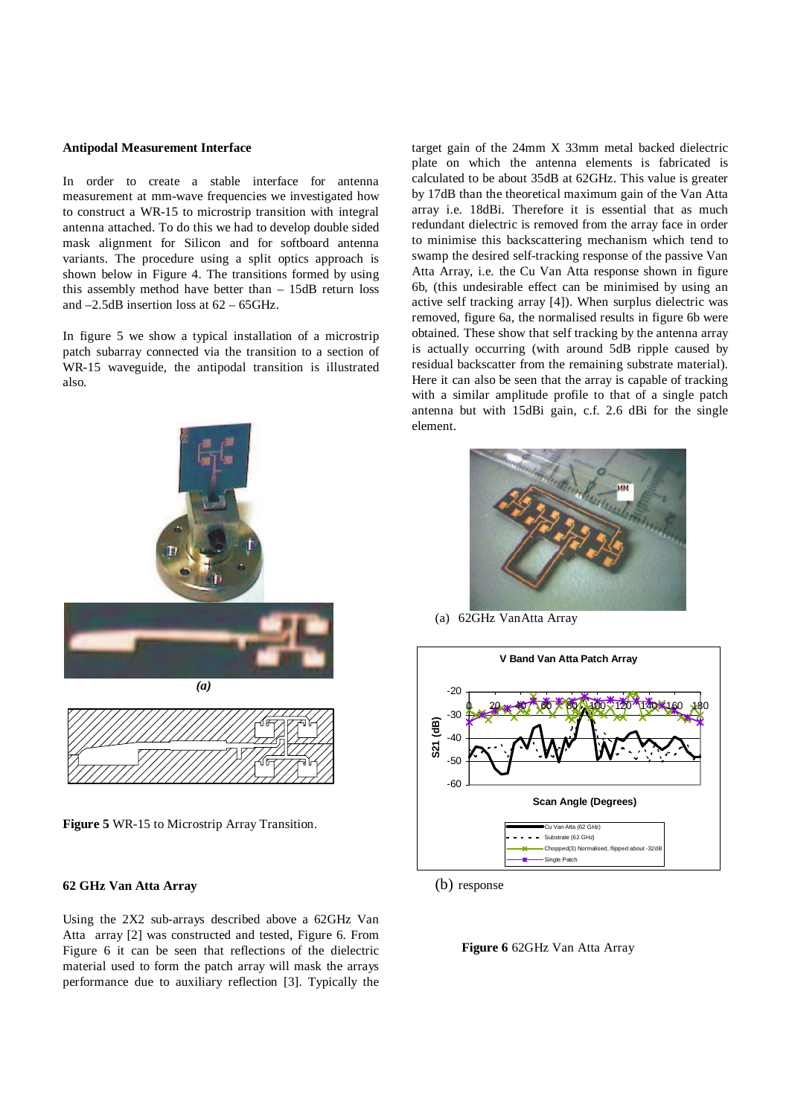#### **Antipodal Measurement Interface**

In order to create a stable interface for antenna measurement at mm-wave frequencies we investigated how to construct a WR-15 to microstrip transition with integral antenna attached. To do this we had to develop double sided mask alignment for Silicon and for softboard antenna variants. The procedure using a split optics approach is shown below in Figure 4. The transitions formed by using this assembly method have better than – 15dB return loss and –2.5dB insertion loss at 62 – 65GHz.

In figure 5 we show a typical installation of a microstrip patch subarray connected via the transition to a section of WR-15 waveguide, the antipodal transition is illustrated also.



**Figure 5** WR-15 to Microstrip Array Transition.

## **62 GHz Van Atta Array**

Using the 2X2 sub-arrays described above a 62GHz Van Atta array [2] was constructed and tested, Figure 6. From Figure 6 it can be seen that reflections of the dielectric material used to form the patch array will mask the arrays performance due to auxiliary reflection [3]. Typically the target gain of the 24mm X 33mm metal backed dielectric plate on which the antenna elements is fabricated is calculated to be about 35dB at 62GHz. This value is greater by 17dB than the theoretical maximum gain of the Van Atta array i.e. 18dBi. Therefore it is essential that as much redundant dielectric is removed from the array face in order to minimise this backscattering mechanism which tend to swamp the desired self-tracking response of the passive Van Atta Array, i.e. the Cu Van Atta response shown in figure 6b, (this undesirable effect can be minimised by using an active self tracking array [4]). When surplus dielectric was removed, figure 6a, the normalised results in figure 6b were obtained. These show that self tracking by the antenna array is actually occurring (with around 5dB ripple caused by residual backscatter from the remaining substrate material). Here it can also be seen that the array is capable of tracking with a similar amplitude profile to that of a single patch antenna but with 15dBi gain, c.f. 2.6 dBi for the single element.



(a) 62GHz VanAtta Array



(b) response

**Figure 6** 62GHz Van Atta Array